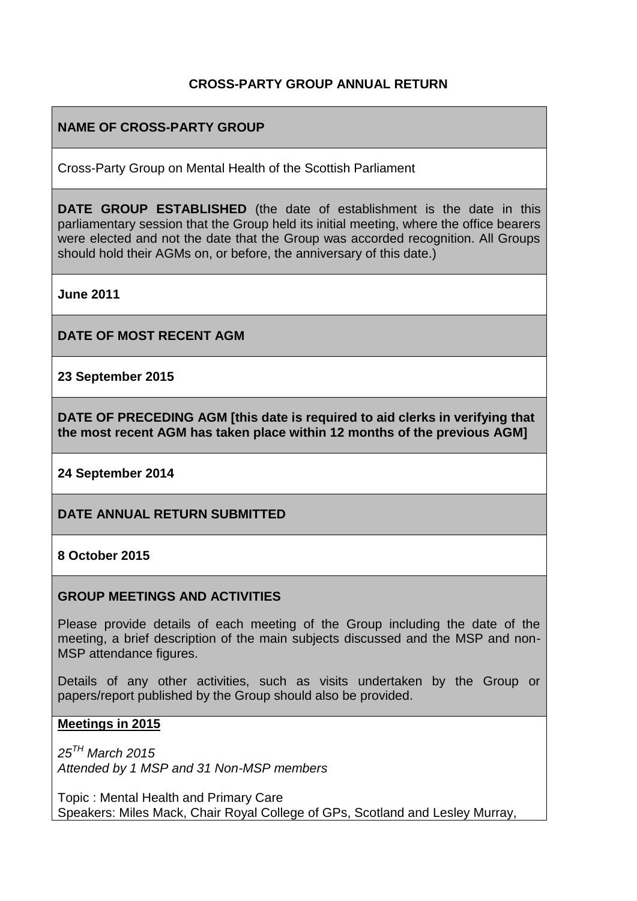### **CROSS-PARTY GROUP ANNUAL RETURN**

### **NAME OF CROSS-PARTY GROUP**

Cross-Party Group on Mental Health of the Scottish Parliament

**DATE GROUP ESTABLISHED** (the date of establishment is the date in this parliamentary session that the Group held its initial meeting, where the office bearers were elected and not the date that the Group was accorded recognition. All Groups should hold their AGMs on, or before, the anniversary of this date.)

**June 2011** 

**DATE OF MOST RECENT AGM**

**23 September 2015** 

**DATE OF PRECEDING AGM [this date is required to aid clerks in verifying that the most recent AGM has taken place within 12 months of the previous AGM]**

**24 September 2014** 

**DATE ANNUAL RETURN SUBMITTED**

**8 October 2015** 

#### **GROUP MEETINGS AND ACTIVITIES**

Please provide details of each meeting of the Group including the date of the meeting, a brief description of the main subjects discussed and the MSP and non-MSP attendance figures.

Details of any other activities, such as visits undertaken by the Group or papers/report published by the Group should also be provided.

#### **Meetings in 2015**

*25TH March 2015 Attended by 1 MSP and 31 Non-MSP members* 

Topic : Mental Health and Primary Care Speakers: Miles Mack, Chair Royal College of GPs, Scotland and Lesley Murray,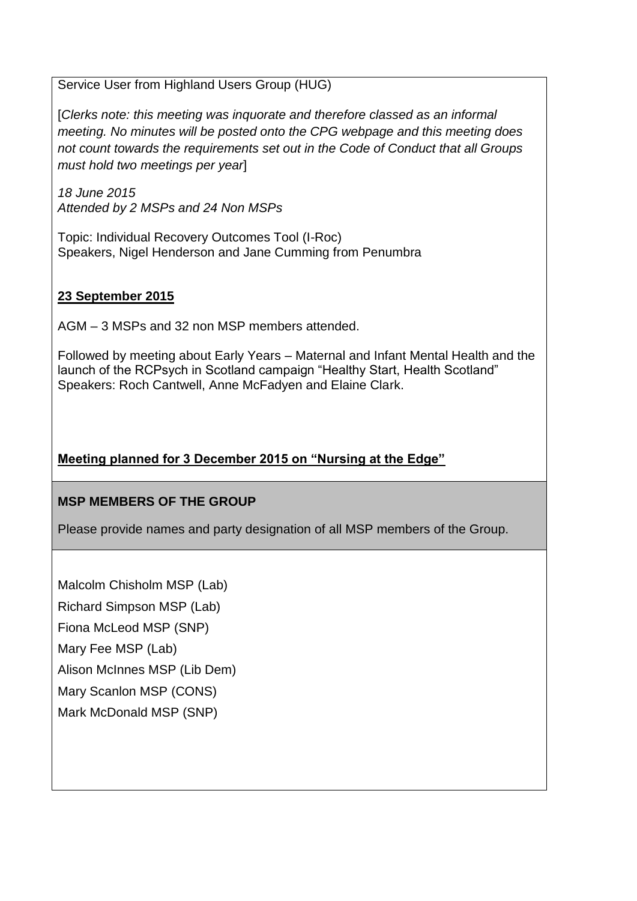Service User from Highland Users Group (HUG)

[*Clerks note: this meeting was inquorate and therefore classed as an informal meeting. No minutes will be posted onto the CPG webpage and this meeting does not count towards the requirements set out in the Code of Conduct that all Groups must hold two meetings per year*]

*18 June 2015 Attended by 2 MSPs and 24 Non MSPs* 

Topic: Individual Recovery Outcomes Tool (I-Roc) Speakers, Nigel Henderson and Jane Cumming from Penumbra

### **23 September 2015**

AGM – 3 MSPs and 32 non MSP members attended.

Followed by meeting about Early Years – Maternal and Infant Mental Health and the launch of the RCPsych in Scotland campaign "Healthy Start, Health Scotland" Speakers: Roch Cantwell, Anne McFadyen and Elaine Clark.

# **Meeting planned for 3 December 2015 on "Nursing at the Edge"**

## **MSP MEMBERS OF THE GROUP**

Please provide names and party designation of all MSP members of the Group.

Malcolm Chisholm MSP (Lab)

Richard Simpson MSP (Lab)

Fiona McLeod MSP (SNP)

Mary Fee MSP (Lab)

Alison McInnes MSP (Lib Dem)

Mary Scanlon MSP (CONS)

## Mark McDonald MSP (SNP)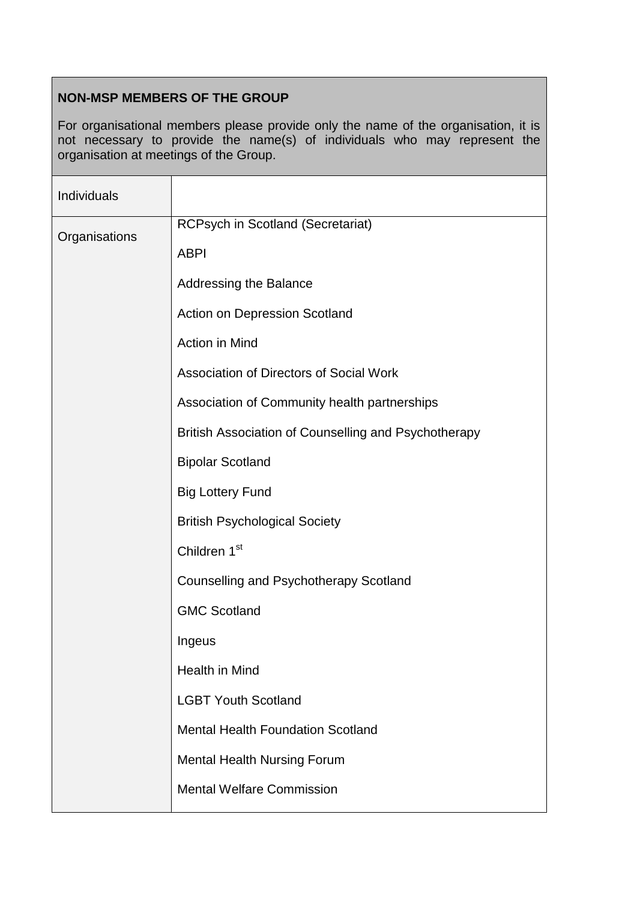## **NON-MSP MEMBERS OF THE GROUP**

For organisational members please provide only the name of the organisation, it is not necessary to provide the name(s) of individuals who may represent the organisation at meetings of the Group.

| Individuals   |                                                      |
|---------------|------------------------------------------------------|
| Organisations | <b>RCPsych in Scotland (Secretariat)</b>             |
|               | <b>ABPI</b>                                          |
|               | <b>Addressing the Balance</b>                        |
|               | Action on Depression Scotland                        |
|               | Action in Mind                                       |
|               | Association of Directors of Social Work              |
|               | Association of Community health partnerships         |
|               | British Association of Counselling and Psychotherapy |
|               | <b>Bipolar Scotland</b>                              |
|               | <b>Big Lottery Fund</b>                              |
|               | <b>British Psychological Society</b>                 |
|               | Children 1 <sup>st</sup>                             |
|               | <b>Counselling and Psychotherapy Scotland</b>        |
|               | <b>GMC Scotland</b>                                  |
|               | Ingeus                                               |
|               | Health in Mind                                       |
|               | <b>LGBT Youth Scotland</b>                           |
|               | <b>Mental Health Foundation Scotland</b>             |
|               | <b>Mental Health Nursing Forum</b>                   |
|               | <b>Mental Welfare Commission</b>                     |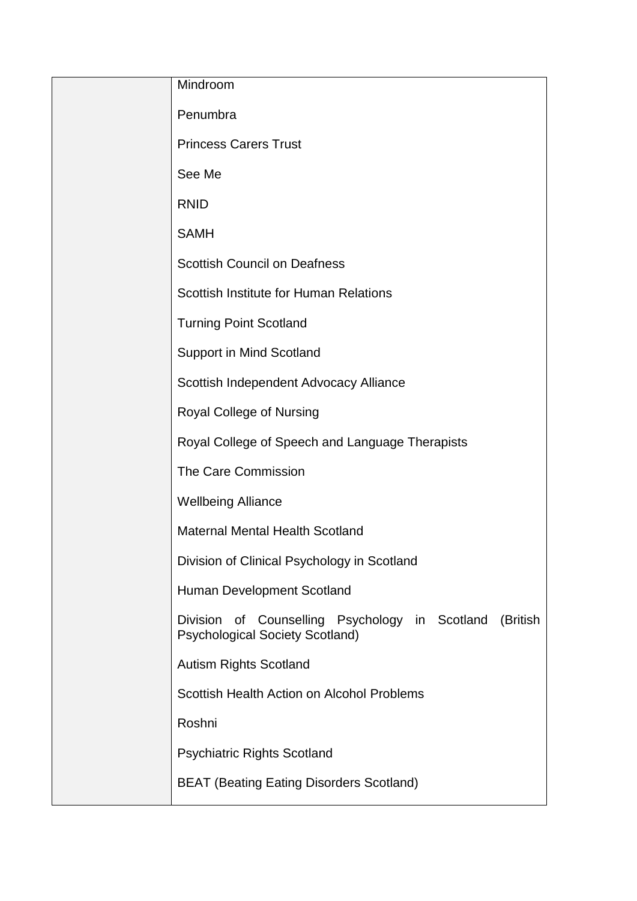| Mindroom                                                                                                       |
|----------------------------------------------------------------------------------------------------------------|
| Penumbra                                                                                                       |
| <b>Princess Carers Trust</b>                                                                                   |
| See Me                                                                                                         |
| <b>RNID</b>                                                                                                    |
| <b>SAMH</b>                                                                                                    |
| <b>Scottish Council on Deafness</b>                                                                            |
| Scottish Institute for Human Relations                                                                         |
| <b>Turning Point Scotland</b>                                                                                  |
| <b>Support in Mind Scotland</b>                                                                                |
| Scottish Independent Advocacy Alliance                                                                         |
| Royal College of Nursing                                                                                       |
| Royal College of Speech and Language Therapists                                                                |
| The Care Commission                                                                                            |
| <b>Wellbeing Alliance</b>                                                                                      |
| <b>Maternal Mental Health Scotland</b>                                                                         |
| Division of Clinical Psychology in Scotland                                                                    |
| Human Development Scotland                                                                                     |
| <b>Division</b><br>of Counselling Psychology in Scotland<br>(British<br><b>Psychological Society Scotland)</b> |
| <b>Autism Rights Scotland</b>                                                                                  |
| Scottish Health Action on Alcohol Problems                                                                     |
| Roshni                                                                                                         |
| <b>Psychiatric Rights Scotland</b>                                                                             |
| <b>BEAT (Beating Eating Disorders Scotland)</b>                                                                |
|                                                                                                                |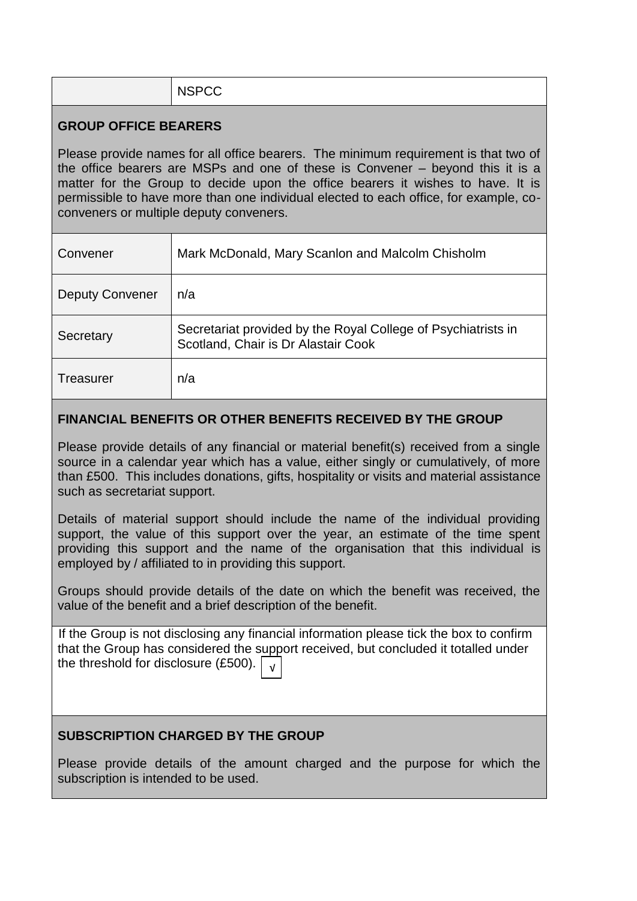| NSPCC |  |  |
|-------|--|--|
|       |  |  |

### **GROUP OFFICE BEARERS**

Please provide names for all office bearers. The minimum requirement is that two of the office bearers are MSPs and one of these is Convener – beyond this it is a matter for the Group to decide upon the office bearers it wishes to have. It is permissible to have more than one individual elected to each office, for example, coconveners or multiple deputy conveners.

| Convener               | Mark McDonald, Mary Scanlon and Malcolm Chisholm                                                     |
|------------------------|------------------------------------------------------------------------------------------------------|
| <b>Deputy Convener</b> | n/a                                                                                                  |
| Secretary              | Secretariat provided by the Royal College of Psychiatrists in<br>Scotland, Chair is Dr Alastair Cook |
| Treasurer              | n/a                                                                                                  |

#### **FINANCIAL BENEFITS OR OTHER BENEFITS RECEIVED BY THE GROUP**

Please provide details of any financial or material benefit(s) received from a single source in a calendar year which has a value, either singly or cumulatively, of more than £500. This includes donations, gifts, hospitality or visits and material assistance such as secretariat support.

Details of material support should include the name of the individual providing support, the value of this support over the year, an estimate of the time spent providing this support and the name of the organisation that this individual is employed by / affiliated to in providing this support.

Groups should provide details of the date on which the benefit was received, the value of the benefit and a brief description of the benefit.

If the Group is not disclosing any financial information please tick the box to confirm that the Group has considered the support received, but concluded it totalled under the threshold for disclosure (£500). √

#### **SUBSCRIPTION CHARGED BY THE GROUP**

Please provide details of the amount charged and the purpose for which the subscription is intended to be used.